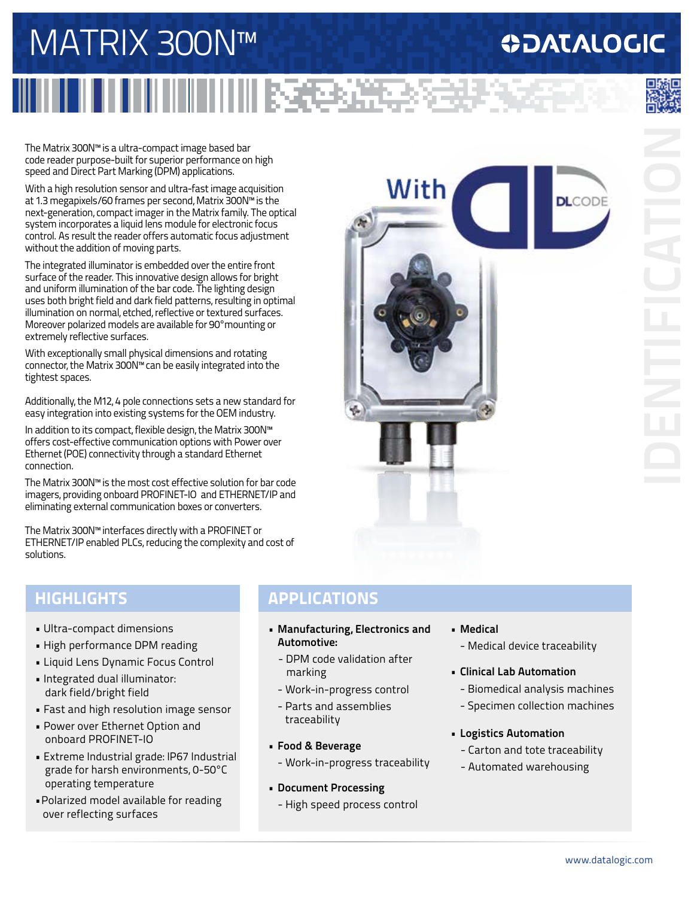# MATRIX 300N™

## **ODATALOGIC**

**DLCODE** 

The Matrix 300N™ is a ultra-compact image based bar code reader purpose-built for superior performance on high speed and Direct Part Marking (DPM) applications.

With a high resolution sensor and ultra-fast image acquisition at 1.3 megapixels/60 frames per second, Matrix 300N™ is the next-generation, compact imager in the Matrix family. The optical system incorporates a liquid lens module for electronic focus control. As result the reader offers automatic focus adjustment without the addition of moving parts.

The integrated illuminator is embedded over the entire front surface of the reader. This innovative design allows for bright and uniform illumination of the bar code. The lighting design uses both bright field and dark field patterns, resulting in optimal illumination on normal, etched, reflective or textured surfaces. Moreover polarized models are available for 90°mounting or extremely reflective surfaces.

With exceptionally small physical dimensions and rotating connector, the Matrix 300N™ can be easily integrated into the tightest spaces.

Additionally, the M12, 4 pole connections sets a new standard for easy integration into existing systems for the OEM industry.

In addition to its compact, flexible design, the Matrix 300N™ offers cost-effective communication options with Power over Ethernet (POE) connectivity through a standard Ethernet connection.

The Matrix 300N™ is the most cost effective solution for bar code imagers, providing onboard PROFINET-IO and ETHERNET/IP and eliminating external communication boxes or converters.

The Matrix 300N™ interfaces directly with a PROFINET or ETHERNET/IP enabled PLCs, reducing the complexity and cost of solutions.

### **HIGHLIGHTS**

- Ultra-compact dimensions
- High performance DPM reading
- Liquid Lens Dynamic Focus Control
- Integrated dual illuminator: dark field/bright field
- Fast and high resolution image sensor
- Power over Ethernet Option and onboard PROFINET-IO
- Extreme Industrial grade: IP67 Industrial grade for harsh environments, 0-50°C operating temperature
- •Polarized model available for reading over reflecting surfaces

### **APPLICATIONS**

III RECENI

With

- **• Manufacturing, Electronics and Automotive:**
	- DPM code validation after marking
	- Work-in-progress control
	- Parts and assemblies traceability
- **• Food & Beverage**
	- Work-in-progress traceability
- **• Document Processing**
	- High speed process control
- **• Medical** - Medical device traceability
- **• Clinical Lab Automation**
	- Biomedical analysis machines
	-
	- Specimen collection machines
- **• Logistics Automation**
	- Carton and tote traceability
	- Automated warehousing